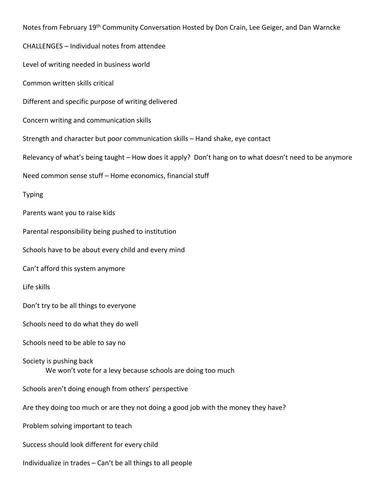Notes from February 19<sup>th</sup> Community Conversation Hosted by Don Crain, Lee Geiger, and Dan Warncke CHALLENGES – Individual notes from attendee Level of writing needed in business world Common written skills critical Different and specific purpose of writing delivered Concern writing and communication skills Strength and character but poor communication skills – Hand shake, eye contact Relevancy of what's being taught – How does it apply? Don't hang on to what doesn't need to be anymore Need common sense stuff – Home economics, financial stuff Typing Parents want you to raise kids Parental responsibility being pushed to institution Schools have to be about every child and every mind Can't afford this system anymore Life skills Don't try to be all things to everyone Schools need to do what they do well Schools need to be able to say no Society is pushing back We won't vote for a levy because schools are doing too much Schools aren't doing enough from others' perspective Are they doing too much or are they not doing a good job with the money they have? Problem solving important to teach Success should look different for every child Individualize in trades – Can't be all things to all people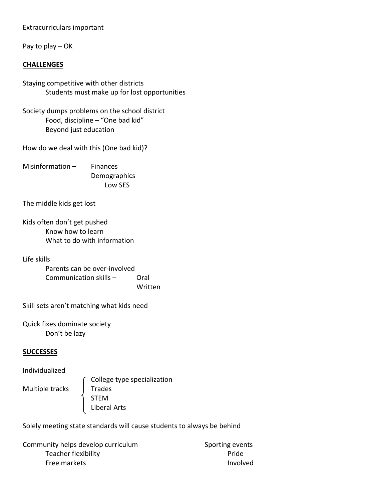## Extracurriculars important

Pay to play – OK

## **CHALLENGES**

- Staying competitive with other districts Students must make up for lost opportunities
- Society dumps problems on the school district Food, discipline – "One bad kid" Beyond just education

How do we deal with this (One bad kid)?

Misinformation – Finances Demographics Low SES

The middle kids get lost

Kids often don't get pushed Know how to learn What to do with information

Life skills

Parents can be over‐involved Communication skills – Oral Written

Skill sets aren't matching what kids need

Quick fixes dominate society Don't be lazy

## **SUCCESSES**

Individualized

Multiple tracks | Trades

 College type specialization STEM Liberal Arts

Solely meeting state standards will cause students to always be behind

Community helps develop curriculum **Sporting events** Teacher flexibility **Teacher flexibility Pride** Free markets and the state of the state of the state of the state of the state of the state of the state of the state of the state of the state of the state of the state of the state of the state of the state of the state